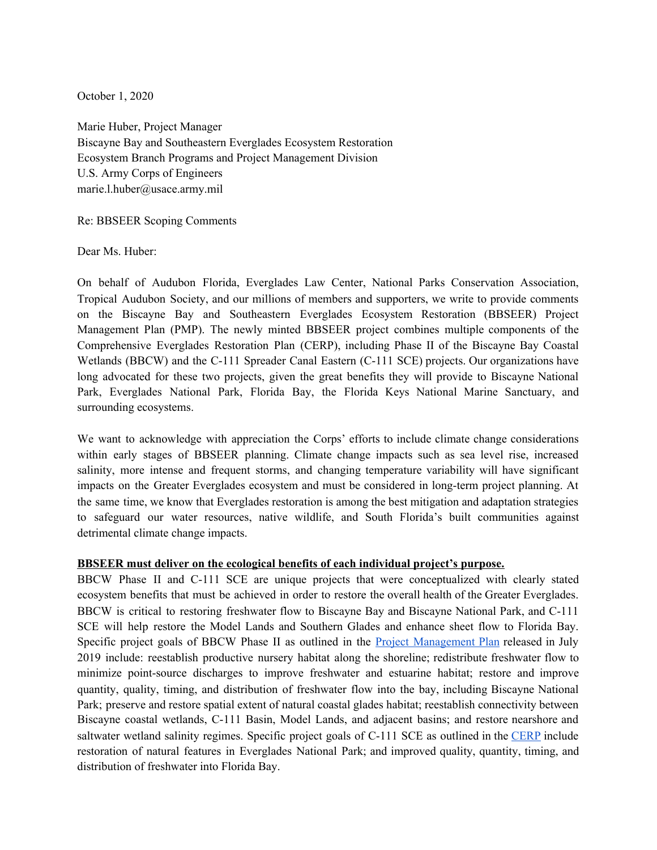October 1, 2020

Marie Huber, Project Manager Biscayne Bay and Southeastern Everglades Ecosystem Restoration Ecosystem Branch Programs and Project Management Division U.S. Army Corps of Engineers marie.l.huber@usace.army.mil

Re: BBSEER Scoping Comments

Dear Ms. Huber:

On behalf of Audubon Florida, Everglades Law Center, National Parks Conservation Association, Tropical Audubon Society, and our millions of members and supporters, we write to provide comments on the Biscayne Bay and Southeastern Everglades Ecosystem Restoration (BBSEER) Project Management Plan (PMP). The newly minted BBSEER project combines multiple components of the Comprehensive Everglades Restoration Plan (CERP), including Phase II of the Biscayne Bay Coastal Wetlands (BBCW) and the C-111 Spreader Canal Eastern (C-111 SCE) projects. Our organizations have long advocated for these two projects, given the great benefits they will provide to Biscayne National Park, Everglades National Park, Florida Bay, the Florida Keys National Marine Sanctuary, and surrounding ecosystems.

We want to acknowledge with appreciation the Corps' efforts to include climate change considerations within early stages of BBSEER planning. Climate change impacts such as sea level rise, increased salinity, more intense and frequent storms, and changing temperature variability will have significant impacts on the Greater Everglades ecosystem and must be considered in long-term project planning. At the same time, we know that Everglades restoration is among the best mitigation and adaptation strategies to safeguard our water resources, native wildlife, and South Florida's built communities against detrimental climate change impacts.

## **BBSEER must deliver on the ecological benefits of each individual project's purpose.**

BBCW Phase II and C-111 SCE are unique projects that were conceptualized with clearly stated ecosystem benefits that must be achieved in order to restore the overall health of the Greater Everglades. BBCW is critical to restoring freshwater flow to Biscayne Bay and Biscayne National Park, and C-111 SCE will help restore the Model Lands and Southern Glades and enhance sheet flow to Florida Bay. Specific project goals of BBCW Phase II as outlined in the **Project Management Plan** released in July 2019 include: reestablish productive nursery habitat along the shoreline; redistribute freshwater flow to minimize point-source discharges to improve freshwater and estuarine habitat; restore and improve quantity, quality, timing, and distribution of freshwater flow into the bay, including Biscayne National Park; preserve and restore spatial extent of natural coastal glades habitat; reestablish connectivity between Biscayne coastal wetlands, C-111 Basin, Model Lands, and adjacent basins; and restore nearshore and saltwater wetland salinity regimes. Specific project goals of C-111 SCE as outlined in the CERP include restoration of natural features in Everglades National Park; and improved quality, quantity, timing, and distribution of freshwater into Florida Bay.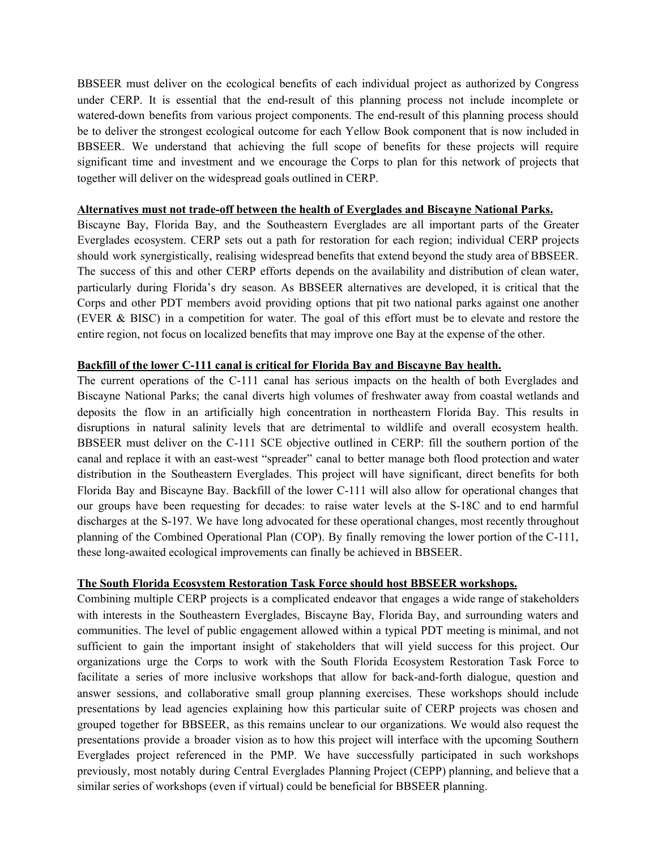BBSEER must deliver on the ecological benefits of each individual project as authorized by Congress under CERP. It is essential that the end-result of this planning process not include incomplete or watered-down benefits from various project components. The end-result of this planning process should be to deliver the strongest ecological outcome for each Yellow Book component that is now included in BBSEER. We understand that achieving the full scope of benefits for these projects will require significant time and investment and we encourage the Corps to plan for this network of projects that together will deliver on the widespread goals outlined in CERP.

## **Alternatives must not trade-off between the health of Everglades and Biscayne National Parks.**

Biscayne Bay, Florida Bay, and the Southeastern Everglades are all important parts of the Greater Everglades ecosystem. CERP sets out a path for restoration for each region; individual CERP projects should work synergistically, realising widespread benefits that extend beyond the study area of BBSEER. The success of this and other CERP efforts depends on the availability and distribution of clean water, particularly during Florida's dry season. As BBSEER alternatives are developed, it is critical that the Corps and other PDT members avoid providing options that pit two national parks against one another (EVER & BISC) in a competition for water. The goal of this effort must be to elevate and restore the entire region, not focus on localized benefits that may improve one Bay at the expense of the other.

## **Backfill of the lower C-111 canal is critical for Florida Bay and Biscayne Bay health.**

The current operations of the C-111 canal has serious impacts on the health of both Everglades and Biscayne National Parks; the canal diverts high volumes of freshwater away from coastal wetlands and deposits the flow in an artificially high concentration in northeastern Florida Bay. This results in disruptions in natural salinity levels that are detrimental to wildlife and overall ecosystem health. BBSEER must deliver on the C-111 SCE objective outlined in CERP: fill the southern portion of the canal and replace it with an east-west "spreader" canal to better manage both flood protection and water distribution in the Southeastern Everglades. This project will have significant, direct benefits for both Florida Bay and Biscayne Bay. Backfill of the lower C-111 will also allow for operational changes that our groups have been requesting for decades: to raise water levels at the S-18C and to end harmful discharges at the S-197. We have long advocated for these operational changes, most recently throughout planning of the Combined Operational Plan (COP). By finally removing the lower portion of the C-111, these long-awaited ecological improvements can finally be achieved in BBSEER.

## **The South Florida Ecosystem Restoration Task Force should host BBSEER workshops.**

Combining multiple CERP projects is a complicated endeavor that engages a wide range of stakeholders with interests in the Southeastern Everglades, Biscayne Bay, Florida Bay, and surrounding waters and communities. The level of public engagement allowed within a typical PDT meeting is minimal, and not sufficient to gain the important insight of stakeholders that will yield success for this project. Our organizations urge the Corps to work with the South Florida Ecosystem Restoration Task Force to facilitate a series of more inclusive workshops that allow for back-and-forth dialogue, question and answer sessions, and collaborative small group planning exercises. These workshops should include presentations by lead agencies explaining how this particular suite of CERP projects was chosen and grouped together for BBSEER, as this remains unclear to our organizations. We would also request the presentations provide a broader vision as to how this project will interface with the upcoming Southern Everglades project referenced in the PMP. We have successfully participated in such workshops previously, most notably during Central Everglades Planning Project (CEPP) planning, and believe that a similar series of workshops (even if virtual) could be beneficial for BBSEER planning.